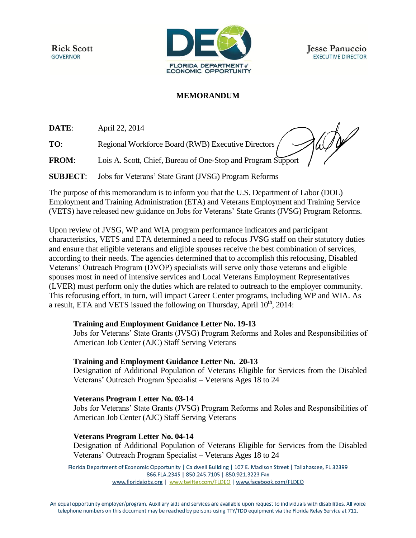**Rick Scott GOVERNOR** 



# **MEMORANDUM**

**DATE**: April 22, 2014

**TO:** Regional Workforce Board (RWB) Executive Directors

**FROM**: Lois A. Scott, Chief, Bureau of One-Stop and Program Support

**SUBJECT**: Jobs for Veterans' State Grant (JVSG) Program Reforms

The purpose of this memorandum is to inform you that the U.S. Department of Labor (DOL) Employment and Training Administration (ETA) and Veterans Employment and Training Service (VETS) have released new guidance on Jobs for Veterans' State Grants (JVSG) Program Reforms.

Upon review of JVSG, WP and WIA program performance indicators and participant characteristics, VETS and ETA determined a need to refocus JVSG staff on their statutory duties and ensure that eligible veterans and eligible spouses receive the best combination of services, according to their needs. The agencies determined that to accomplish this refocusing, Disabled Veterans' Outreach Program (DVOP) specialists will serve only those veterans and eligible spouses most in need of intensive services and Local Veterans Employment Representatives (LVER) must perform only the duties which are related to outreach to the employer community. This refocusing effort, in turn, will impact Career Center programs, including WP and WIA. As a result, ETA and VETS issued the following on Thursday, April  $10<sup>th</sup>$ , 2014:

## **Training and Employment Guidance Letter No. 19-13**

Jobs for Veterans' State Grants (JVSG) Program Reforms and Roles and Responsibilities of American Job Center (AJC) Staff Serving Veterans

## **Training and Employment Guidance Letter No. 20-13**

Designation of Additional Population of Veterans Eligible for Services from the Disabled Veterans' Outreach Program Specialist – Veterans Ages 18 to 24

## **Veterans Program Letter No. 03-14**

Jobs for Veterans' State Grants (JVSG) Program Reforms and Roles and Responsibilities of American Job Center (AJC) Staff Serving Veterans

## **Veterans Program Letter No. 04-14**

Designation of Additional Population of Veterans Eligible for Services from the Disabled Veterans' Outreach Program Specialist – Veterans Ages 18 to 24

Florida Department of Economic Opportunity | Caldwell Building | 107 E. Madison Street | Tallahassee, FL 32399 866.FLA.2345 | 850.245.7105 | 850.921.3223 Fax www.floridajobs.org | www.twitter.com/FLDEO | www.facebook.com/FLDEO

An equal opportunity employer/program. Auxiliary aids and services are available upon request to individuals with disabilities. All voice telephone numbers on this document may be reached by persons using TTY/TDD equipment via the Florida Relay Service at 711.